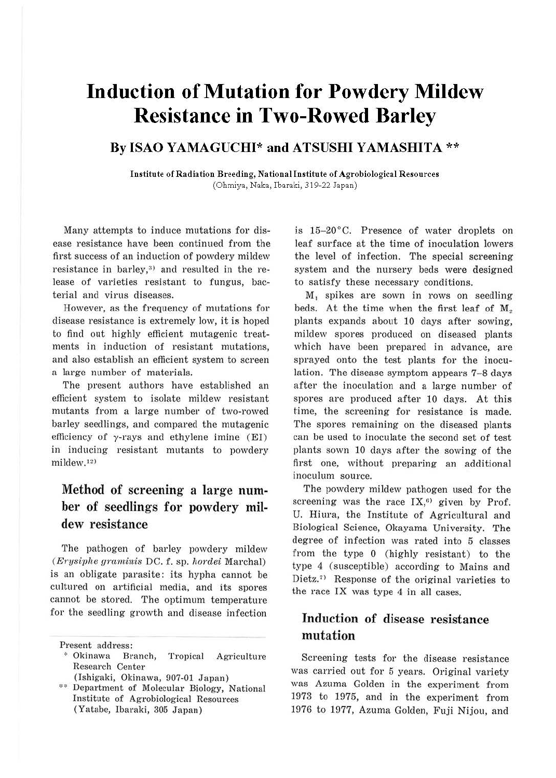# **Induction of Mutation for Powdery Mildew Resistance in Two-Rowed Barley**

### **By ISAO YAMAGUCHI\* and ATSUSHI YAMASHITA** \*\*

**Institute of Radiation Breeding, National Institute of Agro biological Resources**  (Ohmiya, Naka, lbaraki, 319-22 Japan)

Many attempts to induce mutations for disease resistance have been continued from the first success of an induction of powdery mildew resistance in barley, $3$  and resulted in the release of varieties resistant to fungus, bacterial and virns diseases.

However, as the frequency of mutations for disease resistance is extremely low, it is hoped to find out highly efficient mutagenic treatments in induction of resistant mutations, and also establish an efficient system to screen a large number of materials.

The present authors have established an efficient system to isolate mildew resistant mutants from a large number of two-rowed barley seedlings, and compared the mutagenic efficiency of  $\gamma$ -rays and ethylene imine (EI) in inducing resistant mutants to powdery  $mildew<sub>12</sub>$ 

## Method of screening a large **num**ber of seedlings for powdery mildew resistance

The pathogen of barley powdery mildew *(Erysiphe graniinis* DC. f. sp. *hordei* Marchal) is an obligate parasite: its hypha cannot be cultured on artificial media, and its spores cannot be stored. The optimum temperature for the seedling growth and disease infection

\* Okinawa Branch, Tropical Agriculture Research Center

is 15-20°C. Presence of water droplets on leaf surface at the time of inoculation lowers the level of infection. The special screening system and the nursery beds were designed to satisfy these necessary conditions.

M, spikes are sown in rows on seedling beds. At the time when the first leaf of  $M<sub>2</sub>$ plants expands about 10 days after sowing, mildew spores produced on diseased plants which have been prepared in advance, are sprayed onto the test plants for the inoculation. The disease symptom appears 7-8 days after the inoculation and a large number of spores are produced after 10 days. At this time, the screening for resistance is made. The spores remaining on the diseased plants; can be used to inoculate the second set of test plants sown 10 days after the sowing of the first one, without preparing an additional inoculum source.

The powdery mildew pathogen used for the screening was the race  $IX<sub>0</sub>$ , given by Prof. U. Hiura, the Institute of Agricultural and Biological Science, Okayama University. The degree of infection was rated into 5 classes from the type O (highly resistant) to the type 4 (susceptible) according to Mains and Dietz.<sup>7)</sup> Response of the original varieties to the race IX was type 4 in all cases.

### Induction of disease resistance mutation

Screening tests for the disease resistance was carried out for 5 years. Original variety was Azuma Golden in the experiment from 1973 to 1975, and in the experiment from 1976 to 1977, Azuma Golden, Fuji Nijou, and

Present address:

<sup>(</sup>Ishigaki, Okinawa, 907-01 Japan)

<sup>\*\*</sup> Department of Molecular Biology, National Institute of Agrobiological Resources (Yatabe, Ibaraki, 305 Japan)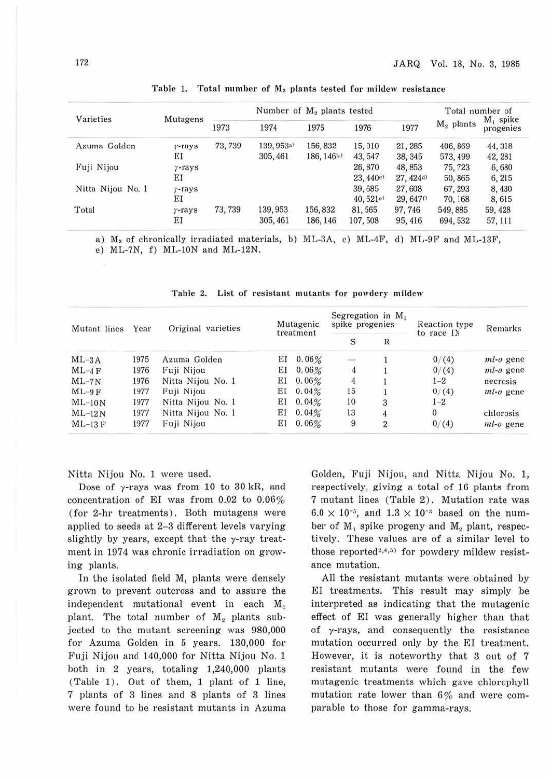| Varieties         | Mutagens       | Number of M <sub>2</sub> plants tested |            |            |          |                       | Total number of |                          |
|-------------------|----------------|----------------------------------------|------------|------------|----------|-----------------------|-----------------|--------------------------|
|                   |                | 1973                                   | 1974       | 1975       | 1976     | 1977                  | $M2$ plants     | $M_1$ spike<br>progenies |
| Azuma Golden      | $\gamma$ -rays | 73, 739                                | 139, 953a) | 156, 832   | 15,010   | 21, 285               | 406, 869        | 44, 318                  |
|                   | ΕI             |                                        | 305, 461   | 186, 146b) | 43, 547  | 38, 345               | 573, 499        | 42, 281                  |
| Fuji Nijou        | $r$ -rays      |                                        |            |            | 26,870   | 48, 853               | 75, 723         | 6,680                    |
|                   | ЕI             |                                        |            |            | 23,440e  | 27, 424 <sup>d)</sup> | 50,865          | 6, 215                   |
| Nitta Nijou No. 1 | $r$ -rays      |                                        |            |            | 39,685   | 27,608                | 67, 293         | 8,430                    |
|                   | ΕI             |                                        |            |            | 40,521e  | 29, 6470              | 70, 168         | 8,615                    |
| Total             | $r$ -rays      | 73, 739                                | 139, 953   | 156, 832   | 81,565   | 97,746                | 549, 885        | 59, 428                  |
|                   | ΕI             |                                        | 305, 461   | 186, 146   | 107, 508 | 95, 416               | 694, 532        | 57, 111                  |

Table 1. Total number of  $M_2$  plants tested for mildew resistance

a)  $M_3$  of chronically irradiated materials, b) ML-3A, c) ML-4F, d) ML-9F and ML-13F,

e) ML-7N, f) ML-lON and ML-12N.

| Mutant lines<br>$ML-3A$ | Year<br>1975 | Original varieties | Mutagenic<br>treatment |          | spike progenies | Segregation in $M_1$ | Reaction type<br>to race IX<br>0/(4) | Remarks<br>$ml-o$ gene |
|-------------------------|--------------|--------------------|------------------------|----------|-----------------|----------------------|--------------------------------------|------------------------|
|                         |              |                    |                        |          | S               | R                    |                                      |                        |
|                         |              | Azuma Golden       | ΕI                     | 0.06%    | $\frac{1}{2}$   |                      |                                      |                        |
| $ML-4F$                 | 1976         | Fuji Nijou         | ΕI                     | 0.06%    | 4               |                      | 0/(4)                                | $ml-o$ gene            |
| $ML-7N$                 | 1976         | Nitta Nijou No. 1  | ΕI                     | $0.06\%$ | 4               |                      | $1 - 2$                              | necrosis               |
| $ML-9F$                 | 1977         | Fuji Nijou         | ΕI                     | 0.04%    | 15              |                      | 0/(4)                                | $ml-o$ gene            |
| $ML-10N$                | 1977         | Nitta Nijou No. 1  | ΕI                     | 0.04%    | 10              | 3                    | $1 - 2$                              |                        |
| $ML-12N$                | 1977         | Nitta Nijou No. 1  | ΕI                     | 0.04%    | 13              |                      | $\Omega$                             | chlorosis              |
| $ML-13$ F               | 1977         | Fuji Nijou         | ΕI                     | 0.06%    | 9               | $\overline{2}$       | 0/(4)                                | $ml-o$ gene            |

Table 2. List of resistant mutants for powdery mildew

Nitta Nijou No. 1 were used.

Dose of  $\gamma$ -rays was from 10 to 30 kR, and concentration of EI was from 0.02 to 0.06% (for 2-hr treatments). Both mutagens were applied to seeds at 2-3 different levels varying slightly by years, except that the  $\gamma$ -ray treatment in 1974 was chronic irradiation on growing plants.

In the isolated field **M,** plants were densely grown to prevent outcross and to assure the independent mutational event in each M<sub>1</sub> plant. The total number of  $M<sub>2</sub>$  plants subjected to the mutant screening was 980,000 for Azuma Golden in 5 years. 130,000 for Fuji Nijou and 140,000 for Nitta Nijou No. 1 both in 2 years, totaling 1,240,000 plants (Table 1). Out of them, 1 plant of 1 line, 7 plants of 3 lines and 8 plants of 3 lines were found to be resistant mutants in Azuma Golden, Fuji Nijou, and Nitta Nijou No. 1, respectively, giving a total of 16 plants from 7 mutant lines (Table 2). Mutation rate was  $6.0 \times 10^{-5}$ , and  $1.3 \times 10^{-3}$  based on the number of  $M_1$  spike progeny and  $M_2$  plant, respectively. These values are of a similar level to those reported<sup>2,4,5)</sup> for powdery mildew resistance mutation.

All the resistant mutants were obtained by EI treatments. This result may simply be interpreted as indicating that the mutagenic effect of EI was generally higher than that of y-rays, and consequently the resistance mutation occurred only by the EI treatment. However, it is noteworthy that 3 out of 7 resistant mutants were found in the few mutagenic treatments which gave chlorophyll mutation rate lower than  $6\%$  and were comparable to those for gamma-rays.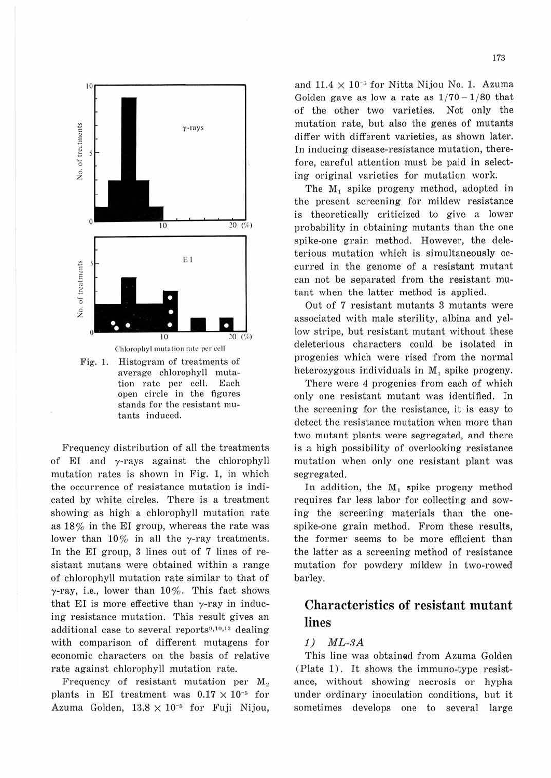

Fig. 1. Histogram of treatments of average chlorophyll mutation rate per cell. Each open circle in the figures stands for the resistant mutants induced.

Frequency distribution of all the treatments of EI and  $\gamma$ -rays against the chlorophyll mutation rates is shown in Fig. 1, in which the occurrence of resistance mutation is indicated by white circles. There is a treatment showing as high a chlorophyll mutation rate as 18% in the EI group, whereas the rate was lower than  $10\%$  in all the y-ray treatments. In the EI group, 3 lines out of 7 lines of resistant mutans were obtained within a range of chlorophyll mutation rate similar to that of  $\gamma$ -ray, i.e., lower than 10%. This fact shows that EI is more effective than  $\gamma$ -ray in inducing resistance mutation. This result gives an additional case to several reports<sup>9,10,13</sup> dealing with comparison of different mutagens for economic characters on the basis of relative rate against chlorophyll mutation rate.

Frequency of resistant mutation per M. plants in EI treatment was  $0.17 \times 10^{-5}$  for Azuma Golden,  $13.8 \times 10^{-5}$  for Fuji Nijou, and  $11.4 \times 10^{-3}$  for Nitta Nijou No. 1. Azuma Golden gave as low a rate as  $1/70-1/80$  that of the other two varieties. Not only the mutation rate, but also the genes of mutants differ with different varieties, as shown later. In inducing disease-resistance mutation, therefore, careful attention must be paid in selecting original varieties for mutation work.

The M<sub>1</sub> spike progeny method, adopted in the present screening for mildew resistance is theoretically criticized to give a lower probability in obtaining mutants than the one spike-one grain method. However, the deleterious mutation which is simultaneously occurred in the genome of a resistant mutant can not be separated from the resistant mutant when the latter method is applied.

Out of 7 resistant mutants 3 mutants were associated with male sterility, albina and yellow stripe, but resistant mutant without these deleterious characters could be isolated in progenies which were rised from the normal heterozygous individuals in M, spike progeny.

There were 4 progenies from each of which only one resistant mutant was identified. In the screening for the resistance, it is easy to detect the resistance mutation when more than two mutant plants were segregated, and there is a high possibility of overlooking resistance mutation when only one resistant plant was segregated.

In addition, the  $M_1$  spike progeny method requires far less labor for collecting and sowing the screening materials than the onespike-one grain method. From these results, the former seems to be more efficient than the latter as a screening method of resistance mutation for powdery mildew in two-rowed barley.

### Characteristics of resistant mutant lines

#### $1)$   $ML-3A$

This line was obtained from Azuma Golden (Plate 1). It shows the immuno-type resistance, without showing necrosis or hypha under ordinary inoculation conditions, but it sometimes develops one to several large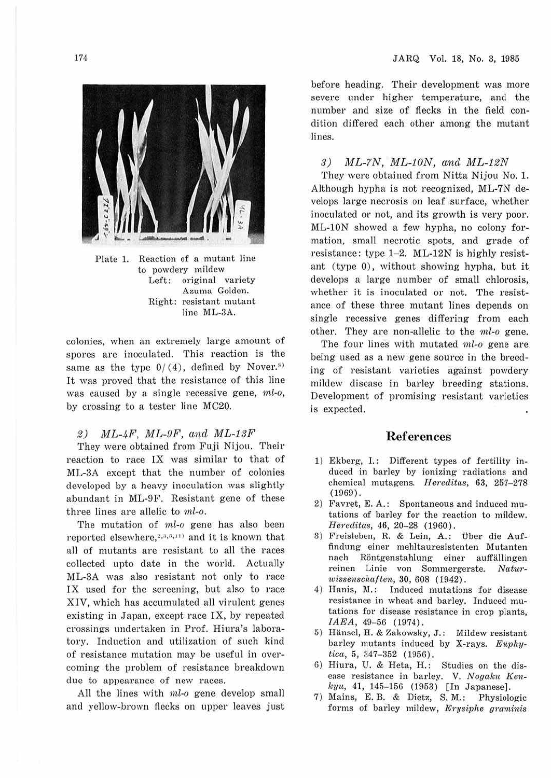

Plate 1. Reaction of a mutant line to powdery mildew Left: original variety Azuma Golden. Right: resistant mutant line ML-3A.

colonies, when an extremely large amount of spores are inoculated. This reaction is the same as the type  $0/(4)$ , defined by Nover.<sup>51</sup> It was proved that the resistance of this line was caused by a single recessive gene,  $ml-0$ , by crossing to a tester line MC20.

#### 2) ML-4F, ML-OF, and ML-1SF

They were obtained from Fuji Nijou. Their reaction to race IX was similar to that of ML-3A except that the number of colonies developed by a heavy inoculation was slightly abundant in ML-9F. Resistant gene of these three lines are allelic to ml-o.

The mutation of ml-o gene has also been reported elsewhere,  $2,3,5,11$  and it is known that all of mutants are resistant to all the races collected upto date in the world. Actually ML-3A was also resistant not only to race IX used for the screening, but also to race XIV, which has accumulated all virulent genes existing in Japan, except race IX, by repeated crossings undertaken in Prof. Hiura's laboratory. Induction and utilization of such kind of resistance mutation may be useful in overcoming the problem of resistance breakdown due to appearance of new races.

All the lines with *ml*-o gene develop small and yellow-brown flecks on upper leaves just

before heading. Their development was more severe under higher temperature, and the number and size of flecks in the field condition differed each other among the mutant lines.

#### 3)  $ML-7N$ ,  $ML-10N$ , and  $ML-12N$

They were obtained from Nitta Nijou No. 1. Although hypha is not recognized, ML-7N develops large necrosis on leaf surface, whether inoculated or not, and its growth is very poor. ML-lON showed a few hypha, no colony formation, small necrotic spots, and grade of resistance: type 1-2. ML-12N is highly resistant (type 0), without showing hypha, but it develops a large number of small chlorosis, whether it is inoculated or not. The resistance of these three mutant lines depends on single recessive genes differing from each other. They are non-allelic to the *nil-o* gene.

The four lines with mutated  $ml-o$  gene are being used as a new gene source in the breeding of resistant varieties against powdery mildew disease in barley breeding stations. Development of promising resistant varieties is expected.

#### **References**

- **1)** Ekberg, **1. :** Different types of fertility induced in barley by ionizing radiations and chemical mutagens. Hereditas, 63, 257-278 (1969) .
- 2) Favret, E. A.: Spontaneous and induced mutations of barley for the reaction to mildew. *Hereditas,* 46, 20-28 (1960).
- 3) Freisleben, R. & Lein, A.: Über die Auffindung einer mehltauresistenten Mutanten nach Rontgenstahlung einer auffallingen reinen Linie von Sommergerste. Natur*wissenschaften, 30, 608 (1942).*
- 4) Hanis, M.: Induced mutations for disease resistance in wheat and barley. Induced mutations for disease resistance in crop plants, *IAEA*, 49-56 (1974).
- 5) Hiinsel, H. & Zakowsky, J.: Mildew resistant barley mutants induced by X-rays. *Euvhytica*, 5, 347-352 (1956).
- 6) Hiura, U. & Reta, H.: Studies on the disease resistance in barley. V. Nogaku Ken $kyu, 41, 145-156$  (1953) [In Japanese].
- 7) Mains, E. B. & Dietz, S. M.: Physiologic forms of barley mildew, *Erysiphe graminis*